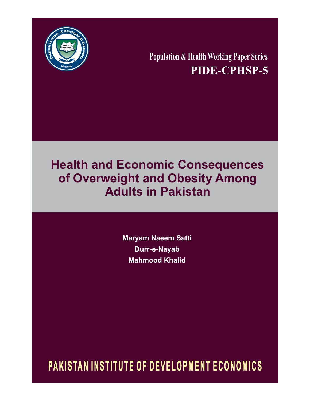

**Population & Health Working Paper Series PIDE-CPHSP-5**

# **Health and Economic Consequences of Overweight and Obesity Among Adults in Pakistan**

**Maryam Naeem Satti Durr-e-Nayab Mahmood Khalid**

PAKISTAN INSTITUTE OF DEVELOPMENT ECONOMICS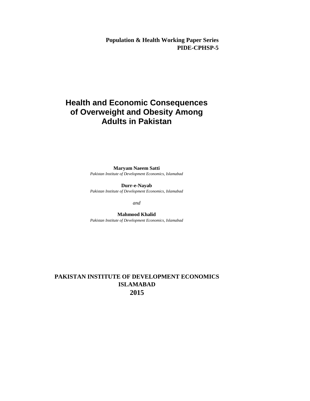**Population & Health Working Paper Series PIDE-CPHSP-5**

# **Health and Economic Consequences of Overweight and Obesity Among Adults in Pakistan**

**Maryam Naeem Satti** *Pakistan Institute of Development Economics, Islamabad*

**Durr-e-Nayab** *Pakistan Institute of Development Economics, Islamabad*

*and*

**Mahmood Khalid** *Pakistan Institute of Development Economics, Islamabad*

# **PAKISTAN INSTITUTE OF DEVELOPMENT ECONOMICS ISLAMABAD 2015**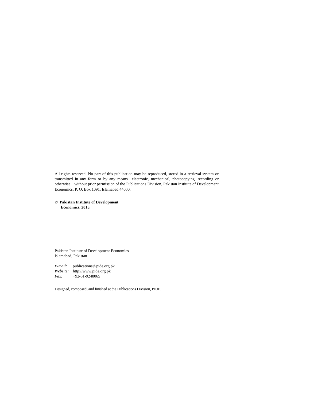All rights reserved. No part of this publication may be reproduced, stored in a retrieval system or transmitted in any form or by any means electronic, mechanical, photocopying, recording or otherwise without prior permission of the Publications Division, Pakistan Institute of Development Economics, P. O. Box 1091, Islamabad 44000.

**© Pakistan Institute of Development Economics, 2015.**

Pakistan Institute of Development Economics Islamabad, Pakistan

*E-mail:* publications@pide.org.pk *Website:* http://www.pide.org.pk *Fax:* +92-51-9248065

Designed, composed, and finished at the Publications Division, PIDE.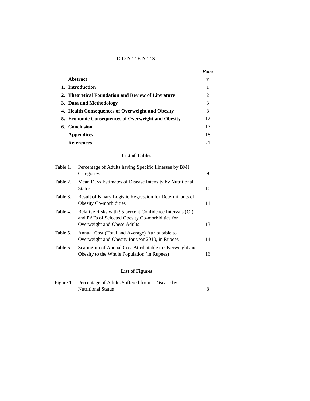# **C O N T E N T S**

|                                                    | Page |
|----------------------------------------------------|------|
| Abstract                                           | v    |
| 1. Introduction                                    |      |
| 2. Theoretical Foundation and Review of Literature | 2    |
| 3. Data and Methodology                            | 3    |
| 4. Health Consequences of Overweight and Obesity   | 8    |
| 5. Economic Consequences of Overweight and Obesity | 12   |
| 6. Conclusion                                      | 17   |
| <b>Appendices</b>                                  | 18   |
| <b>References</b>                                  | 21   |

# **List of Tables**

| Table 1. | Percentage of Adults having Specific Illnesses by BMI<br>Categories                                                                        | 9  |
|----------|--------------------------------------------------------------------------------------------------------------------------------------------|----|
| Table 2. | Mean Days Estimates of Disease Intensity by Nutritional<br>Status                                                                          | 10 |
| Table 3. | Result of Binary Logistic Regression for Determinants of<br>Obesity Co-morbidities                                                         | 11 |
| Table 4. | Relative Risks with 95 percent Confidence Intervals (CI)<br>and PAFs of Selected Obesity Co-morbidities for<br>Overweight and Obese Adults | 13 |
| Table 5. | Annual Cost (Total and Average) Attributable to<br>Overweight and Obesity for year 2010, in Rupees                                         | 14 |
| Table 6. | Scaling-up of Annual Cost Attributable to Overweight and<br>Obesity to the Whole Population (in Rupees)                                    | 16 |
|          |                                                                                                                                            |    |

# **List of Figures**

| Figure 1. Percentage of Adults Suffered from a Disease by |  |
|-----------------------------------------------------------|--|
| <b>Nutritional Status</b>                                 |  |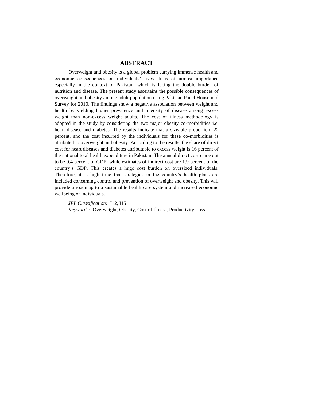# **ABSTRACT**

Overweight and obesity is a global problem carrying immense health and economic consequences on individuals' lives. It is of utmost importance especially in the context of Pakistan, which is facing the double burden of nutrition and disease. The present study ascertains the possible consequences of overweight and obesity among adult population using Pakistan Panel Household Survey for 2010. The findings show a negative association between weight and health by yielding higher prevalence and intensity of disease among excess weight than non-excess weight adults. The cost of illness methodology is adopted in the study by considering the two major obesity co-morbidities i.e. heart disease and diabetes. The results indicate that a sizeable proportion, 22 percent, and the cost incurred by the individuals for these co-morbidities is attributed to overweight and obesity. According to the results, the share of direct cost for heart diseases and diabetes attributable to excess weight is 16 percent of the national total health expenditure in Pakistan. The annual direct cost came out to be 0.4 percent of GDP, while estimates of indirect cost are 1.9 percent of the country's GDP. This creates a huge cost burden on oversized individuals. Therefore, it is high time that strategies in the country's health plans are included concerning control and prevention of overweight and obesity. This will provide a roadmap to a sustainable health care system and increased economic wellbeing of individuals.

*JEL Classification:* I12, I15 *Keywords:* Overweight, Obesity, Cost of Illness, Productivity Loss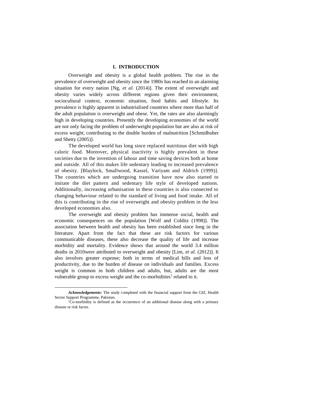#### **1. INTRODUCTION\***

Overweight and obesity is a global health problem. The rise in the prevalence of overweight and obesity since the 1980s has reached to an alarming situation for every nation [Ng, *et al.* (2014)]. The extent of overweight and obesity varies widely across different regions given their environment, sociocultural context, economic situation, food habits and lifestyle. Its prevalence is highly apparent in industrialised countries where more than half of the adult population is overweight and obese. Yet, the rates are also alarmingly high in developing countries. Presently the developing economies of the world are not only facing the problem of underweight population but are also at risk of excess weight; contributing to the double burden of malnutrition [Schmidhuber and Shetty (2005)].

The developed world has long since replaced nutritious diet with high caloric food. Moreover, physical inactivity is highly prevalent in these societies due to the invention of labour and time saving devices both at home and outside. All of this makes life sedentary leading to increased prevalence of obesity. [Blaylock, Smallwood, Kassel, Variyam and Aldrich (1999)]. The countries which are undergoing transition have now also started to imitate the diet pattern and sedentary life style of developed nations. Additionally, increasing urbanisation in these countries is also connected to changing behaviour related to the standard of living and food intake. All of this is contributing in the rise of overweight and obesity problem in the less developed economies also.

The overweight and obesity problem has immense social, health and economic consequences on the population [Wolf and Colditz (1998)]. The association between health and obesity has been established since long in the literature. Apart from the fact that these are risk factors for various communicable diseases, these also decrease the quality of life and increase morbidity and mortality. Evidence shows that around the world 3.4 million deaths in 2010were attributed to overweight and obesity [Lim, *et al.* (2012)]. It also involves greater expense; both in terms of medical bills and loss of productivity, due to the burden of disease on individuals and families. Excess weight is common in both children and adults, but, adults are the most vulnerable group to excess weight and the co-morbidities<sup>1</sup> related to it.

 $\overline{a}$ 

*Acknowledgements:* The study completed with the financial support from the GIZ, Health Sector Support Programme, Pakistan.

<sup>&</sup>lt;sup>1</sup>Co-morbidity is defined as the occurrence of an additional disease along with a primary disease or risk factor.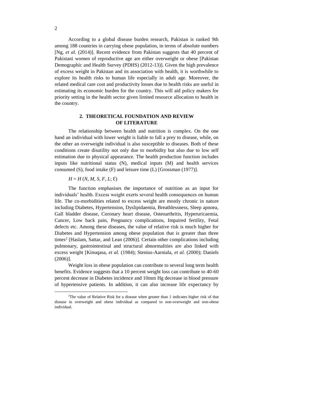According to a global disease burden research, Pakistan is ranked 9th among 188 countries in carrying obese population, in terms of absolute numbers [Ng, *et al.* (2014)]. Recent evidence from Pakistan suggests that 40 percent of Pakistani women of reproductive age are either overweight or obese [Pakistan Demographic and Health Survey (PDHS) (2012-13)]. Given the high prevalence of excess weight in Pakistan and its association with health, it is worthwhile to explore its health risks to human life especially in adult age. Moreover, the related medical care cost and productivity losses due to health risks are useful in estimating its economic burden for the country. This will aid policy makers for priority setting in the health sector given limited resource allocation to health in the country.

# **2. THEORETICAL FOUNDATION AND REVIEW OF LITERATURE**

The relationship between health and nutrition is complex. On the one hand an individual with lower weight is liable to fall a prey to disease, while, on the other an overweight individual is also susceptible to diseases. Both of these conditions create disutility not only due to morbidity but also due to low self estimation due to physical appearance. The health production function includes inputs like nutritional status (N), medical inputs (M) and health services consumed (S), food intake (F) and leisure time (L) [Grossman (1977)].

#### $H = H(N, M, S, F, L; \mathcal{E})$

The function emphasises the importance of nutrition as an input for individuals' health. Excess weight exerts several health consequences on human life. The co-morbidities related to excess weight are mostly chronic in nature including Diabetes, Hypertension, Dyslipidaemia, Breathlessness, Sleep apnoea, Gall bladder disease, Coronary heart disease, Osteoarthritis, Hyperuricaemia, Cancer, Low back pain, Pregnancy complications, Impaired fertility, Fetal defects etc. Among these diseases, the value of relative risk is much higher for Diabetes and Hypertension among obese population that is greater than three times<sup>2</sup> [Haslam, Sattar, and Lean (2006)]. Certain other complications including pulmonary, gastrointestinal and structural abnormalities are also linked with excess weight [Kinuqasa, *et al.* (1984); Stenius-Aarniala, *et al.* (2000); Daniels (2006)].

Weight loss in obese population can contribute to several long term health benefits. Evidence suggests that a 10 percent weight loss can contribute to 40-60 percent decrease in Diabetes incidence and 10mm Hg decrease in blood pressure of hypertensive patients. In addition, it can also increase life expectancy by

l

<sup>2</sup>The value of Relative Risk for a disease when greater than 1 indicates higher risk of that disease in overweight and obese individual as compared to non-overweight and non-obese individual.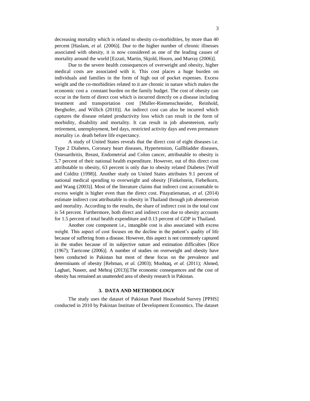decreasing mortality which is related to obesity co-morbidities, by more than 40 percent [Haslam, *et al.* (2006)]. Due to the higher number of chronic illnesses associated with obesity, it is now considered as one of the leading causes of mortality around the world [Ezzati, Martin, Skjold, Hoorn, and Murray (2006)].

Due to the severe health consequences of overweight and obesity, higher medical costs are associated with it. This cost places a huge burden on individuals and families in the form of high out of pocket expenses. Excess weight and the co-morbidities related to it are chronic in nature which makes the economic cost a constant burden on the family budget. The cost of obesity can occur in the form of direct cost which is incurred directly on a disease including treatment and transportation cost [Muller-Riemenschneider, Reinhold, Berghofer, and Willich (2010)]. An indirect cost can also be incurred which captures the disease related productivity loss which can result in the form of morbidity, disability and mortality. It can result in job absenteeism, early retirement, unemployment, bed days, restricted activity days and even premature mortality i.e. death before life expectancy.

A study of United States reveals that the direct cost of eight diseases i.e. Type 2 Diabetes, Coronary heart diseases, Hypertension, Gallbladder diseases, Osteoarthritis, Breast, Endometrial and Colon cancer, attributable to obesity is 5.7 percent of their national health expenditure. However, out of this direct cost attributable to obesity, 63 percent is only due to obesity related Diabetes [Wolf and Colditz (1998)]. Another study on United States attributes 9.1 percent of national medical spending to overweight and obesity [Finkelstein, Fiebelkorn, and Wang (2003)]. Most of the literature claims that indirect cost accountable to excess weight is higher even than the direct cost. Pitayatienanan, *et al.* (2014) estimate indirect cost attributable to obesity in Thailand through job absenteeism and mortality. According to the results, the share of indirect cost in the total cost is 54 percent. Furthermore, both direct and indirect cost due to obesity accounts for 1.5 percent of total health expenditure and 0.13 percent of GDP in Thailand.

Another cost component i.e., intangible cost is also associated with excess weight. This aspect of cost focuses on the decline in the patient's quality of life because of suffering from a disease. However, this aspect is not commonly captured in the studies because of its subjective nature and estimation difficulties [Rice (1967); Tarricone (2006)]. A number of studies on overweight and obesity have been conducted in Pakistan but most of these focus on the prevalence and determinants of obesity [Rehman, *et al.* (2003); Mushtaq, *et al.* (2011); Ahmed, Laghari, Naseer, and Mehraj (2013)].The economic consequences and the cost of obesity has remained an unattended area of obesity research in Pakistan.

#### **3. DATA AND METHODOLOGY**

The study uses the dataset of Pakistan Panel Household Survey [PPHS] conducted in 2010 by Pakistan Institute of Development Economics. The dataset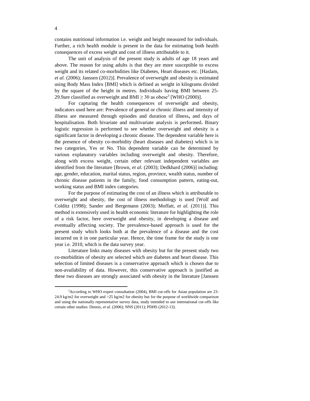contains nutritional information i.e. weight and height measured for individuals. Further, a rich health module is present in the data for estimating both health consequences of excess weight and cost of illness attributable to it.

The unit of analysis of the present study is adults of age 18 years and above. The reason for using adults is that they are more susceptible to excess weight and its related co-morbidities like Diabetes, Heart diseases etc. [Haslam, *et al.* (2006); Janssen (2012)]. Prevalence of overweight and obesity is estimated using Body Mass Index [BMI] which is defined as weight in kilograms divided by the square of the height in metres. Individuals having BMI between 25- 29.9are classified as overweight and BMI  $\geq$  30 as obese<sup>3</sup> [WHO (2000)].

For capturing the health consequences of overweight and obesity, indicators used here are: Prevalence of general or chronic illness and intensity of illness are measured through episodes and duration of illness**,** and days of hospitalisation. Both bivariate and multivariate analysis is performed**.** Binary logistic regression is performed to see whether overweight and obesity is a significant factor in developing a chronic disease. The dependent variable here is the presence of obesity co-morbidity (heart diseases and diabetes) which is in two categories, Yes or No. This dependent variable can be determined by various explanatory variables including overweight and obesity. Therefore, along with excess weight, certain other relevant independent variables are identified from the literature [Brown, *et al.* (2003); Dedkhard (2006)] including: age, gender, education, marital status, region, province, wealth status, number of chronic disease patients in the family, food consumption pattern, eating-out, working status and BMI index categories.

For the purpose of estimating the cost of an illness which is attributable to overweight and obesity, the cost of illness methodology is used [Wolf and Colditz (1998); Sander and Bergemann (2003); Moffatt, *et al.* (2011)]. This method is extensively used in health economic literature for highlighting the role of a risk factor, here overweight and obesity, in developing a disease and eventually affecting society. The prevalence-based approach is used for the present study which looks both at the prevalence of a disease and the cost incurred on it in one particular year. Hence, the time frame for the study is one year i.e. 2010, which is the data survey year.

Literature links many diseases with obesity but for the present study two co-morbidities of obesity are selected which are diabetes and heart disease. This selection of limited diseases is a conservative approach which is chosen due to non-availability of data. However, this conservative approach is justified as these two diseases are strongly associated with obesity in the literature [Janssen

l

<sup>&</sup>lt;sup>3</sup>According to WHO expert consultation (2004), BMI cut-offs for Asian population are 23-24.9 kg/m2 for overweight and >25 kg/m2 for obesity but for the purpose of worldwide comparison and using the nationally representative survey data, study intended to use international cut-offs like certain other studies: Dennis, *et al.* (2006); NNS (2011); PDHS (2012-13).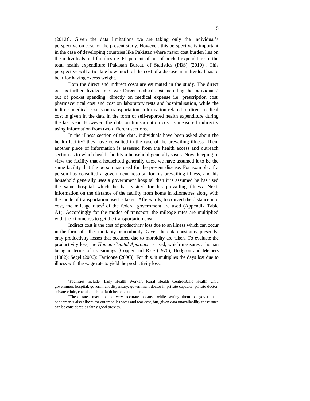(2012)]. Given the data limitations we are taking only the individual's perspective on cost for the present study. However, this perspective is important in the case of developing countries like Pakistan where major cost burden lies on the individuals and families i.e. 61 percent of out of pocket expenditure in the total health expenditure [Pakistan Bureau of Statistics (PBS) (2010)]. This perspective will articulate how much of the cost of a disease an individual has to bear for having excess weight.

Both the direct and indirect costs are estimated in the study. The direct cost is further divided into two: Direct medical cost including the individuals' out of pocket spending, directly on medical expense i.e. prescription cost, pharmaceutical cost and cost on laboratory tests and hospitalisation, while the indirect medical cost is on transportation. Information related to direct medical cost is given in the data in the form of self-reported health expenditure during the last year. However, the data on transportation cost is measured indirectly using information from two different sections.

In the illness section of the data, individuals have been asked about the health facility<sup>4</sup> they have consulted in the case of the prevailing illness. Then, another piece of information is assessed from the health access and outreach section as to which health facility a household generally visits. Now, keeping in view the facility that a household generally uses, we have assumed it to be the same facility that the person has used for the present disease. For example, if a person has consulted a government hospital for his prevailing illness, and his household generally uses a government hospital then it is assumed he has used the same hospital which he has visited for his prevailing illness. Next, information on the distance of the facility from home in kilometres along with the mode of transportation used is taken. Afterwards, to convert the distance into cost, the mileage rates<sup>5</sup> of the federal government are used (Appendix Table A1). Accordingly for the modes of transport, the mileage rates are multiplied with the kilometres to get the transportation cost.

Indirect cost is the cost of productivity loss due to an illness which can occur in the form of either mortality or morbidity. Given the data constrains, presently, only productivity losses that occurred due to morbidity are taken. To evaluate the productivity loss, the *Human Capital Approach* is used, which measures a human being in terms of its earnings [Copper and Rice (1976); Hodgson and Meiners (1982); Segel (2006); Tarricone (2006)]. For this, it multiplies the days lost due to illness with the wage rate to yield the productivity loss.

l

<sup>4</sup>Facilities include: Lady Health Worker, Rural Health Centre/Basic Health Unit, government hospital, government dispensary, government doctor in private capacity, private doctor, private clinic, chemist, hakim, faith healers and others.

<sup>5</sup>These rates may not be very accurate because while setting them on government benchmarks also allows for automobiles wear and tear cost, but, given data unavailability these rates can be considered as fairly good proxies.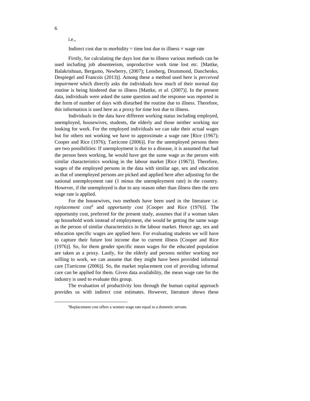i.e.,

6

l

Indirect cost due to morbidity = time lost due to illness  $\times$  wage rate

Firstly, for calculating the days lost due to illness various methods can be used including job absenteeism, unproductive work time lost etc. [Mattke, Balakrishnan, Bergamo, Newberry, (2007); Lensberg, Drummond, Danchenko, Despiegel and Francois (2013)]. Among these a method used here is *perceived impairment* which directly asks the individuals how much of their normal day routine is being hindered due to illness [Mattke, *et al.* (2007)]. In the present data, individuals were asked the same question and the response was reported in the form of number of days with disturbed the routine due to illness. Therefore, this information is used here as a proxy for time lost due to illness.

Individuals in the data have different working status including employed, unemployed, housewives, students, the elderly and those neither working nor looking for work. For the employed individuals we can take their actual wages but for others not working we have to approximate a wage rate [Rice (1967); Cooper and Rice (1976); Tarricone (2006)]. For the unemployed persons there are two possibilities: If unemployment is due to a disease, it is assumed that had the person been working, he would have got the same wage as the person with similar characteristics working in the labour market [Rice (1967)]. Therefore, wages of the employed persons in the data with similar age, sex and education as that of unemployed persons are picked and applied here after adjusting for the national unemployment rate (1 minus the unemployment rate) in the country. However, if the unemployed is due to any reason other than illness then the zero wage rate is applied.

For the housewives, two methods have been used in the literature i.e. *replacement cost<sup>6</sup>* and *opportunity cost* [Cooper and Rice (1976)]*.* The opportunity cost, preferred for the present study, assumes that if a woman takes up household work instead of employment, she would be getting the same wage as the person of similar characteristics in the labour market. Hence age, sex and education specific wages are applied here. For evaluating students we will have to capture their future lost income due to current illness [Cooper and Rice (1976)]. So, for them gender specific mean wages for the educated population are taken as a proxy. Lastly, for the elderly and persons neither working nor willing to work, we can assume that they might have been provided informal care [Tarricone (2006)]. So, the market replacement cost of providing informal care can be applied for them. Given data availability, the mean wage rate for the industry is used to evaluate this group.

The evaluation of productivity loss through the human capital approach provides us with indirect cost estimates. However, literature shows these

<sup>&</sup>lt;sup>6</sup>Replacement cost offers a women wage rate equal to a domestic servant.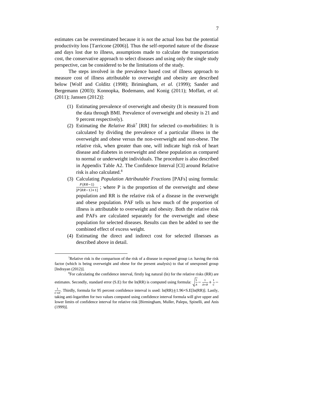estimates can be overestimated because it is not the actual loss but the potential productivity loss [Tarricone (2006)]. Thus the self-reported nature of the disease and days lost due to illness, assumptions made to calculate the transportation cost, the conservative approach to select diseases and using only the single study perspective, can be considered to be the limitations of the study.

7

The steps involved in the prevalence based cost of illness approach to measure cost of illness attributable to overweight and obesity are described below [Wolf and Colditz (1998); Brimingham, *et al.* (1999); Sander and Bergemann (2003); Konnopka, [Bodemann, a](http://www.ncbi.nlm.nih.gov/pubmed?term=B%C3%B6demann%20M%5BAuthor%5D&cauthor=true&cauthor_uid=20401679)nd [Konig](http://www.ncbi.nlm.nih.gov/pubmed?term=K%C3%B6nig%20HH%5BAuthor%5D&cauthor=true&cauthor_uid=20401679) (2011); Moffatt, *et al.* (2011); Janssen (2012)]:

- (1) Estimating prevalence of overweight and obesity (It is measured from the data through BMI. Prevalence of overweight and obesity is 21 and 9 percent respectively).
- (2) Estimating the *Relative Risk*<sup>7</sup> [RR] for selected co-morbidities: It is calculated by dividing the prevalence of a particular illness in the overweight and obese versus the non-overweight and non-obese. The relative risk, when greater than one, will indicate high risk of heart disease and diabetes in overweight and obese population as compared to normal or underweight individuals. The procedure is also described in Appendix Table A2. The Confidence Interval [CI] around Relative risk is also calculated. 8
- (3) Calculating *Population Attributable Fractions* [PAFs] using formula:  $P(RR-1)$  $\frac{F(nR-1)}{[P(RR-1)+1]}$ ; where P is the proportion of the overweight and obese population and RR is the relative risk of a disease in the overweight and obese population. PAF tells us how much of the proportion of illness is attributable to overweight and obesity. Both the relative risk and PAFs are calculated separately for the overweight and obese population for selected diseases. Results can then be added to see the combined effect of excess weight.
- (4) Estimating the direct and indirect cost for selected illnesses as described above in detail.

 $\overline{\phantom{a}}$ 

(1999)].

 $7$ Relative risk is the comparison of the risk of a disease in exposed group i.e. having the risk factor (which is being overweight and obese for the present analysis) to that of unexposed group [Indrayan (2012)].

<sup>&</sup>lt;sup>8</sup>For calculating the confidence interval, firstly log natural (ln) for the relative risks (RR) are estimates. Secondly, standard error (S.E) for the ln(RR) is computed using formula:  $\frac{1}{4}$ 

 $\frac{1}{A} - \frac{1}{A+}$  $\frac{1}{A+B} + \frac{1}{C}$  $\frac{1}{c}$  – 1  $\frac{1}{C+D}$ . Thirdly, formula for 95 percent confidence interval is used: ln(RR) $\pm$ 1.96×S.E[ln(RR)]. Lastly, taking anti-logarithm for two values computed using confidence interval formula will give upper and lower limits of confidence interval for relative risk [Birmingham[, Muller, Palepu,](http://www.ncbi.nlm.nih.gov/pubmed?term=Muller%20JL%5BAuthor%5D&cauthor=true&cauthor_uid=10081464) [Spinelli, a](http://www.ncbi.nlm.nih.gov/pubmed?term=Spinelli%20JJ%5BAuthor%5D&cauthor=true&cauthor_uid=10081464)nd [Anis](http://www.ncbi.nlm.nih.gov/pubmed?term=Anis%20AH%5BAuthor%5D&cauthor=true&cauthor_uid=10081464)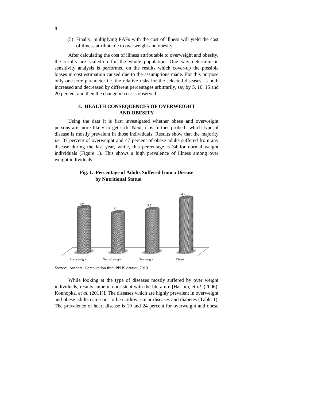(5) Finally, multiplying PAFs with the cost of illness will yield the cost of illness attributable to overweight and obesity.

After calculating the cost of illness attributable to overweight and obesity, the results are scaled-up for the whole population. One way deterministic sensitivity analysis is performed on the results which cover-up the possible biases in cost estimation caused due to the assumptions made. For this purpose only one core parameter i.e. the relative risks for the selected diseases, is both increased and decreased by different percentages arbitrarily, say by 5, 10, 15 and 20 percent and then the change in cost is observed.

## **4. HEALTH CONSEQUENCES OF OVERWEIGHT AND OBESITY**

Using the data it is first investigated whether obese and overweight persons are more likely to get sick. Next, it is further probed which type of disease is mostly prevalent in those individuals. Results show that the majority i.e. 37 percent of overweight and 47 percent of obese adults suffered from any disease during the last year, while, this percentage is 34 for normal weight individuals (Figure 1). This shows a high prevalence of illness among over weight individuals.

**Fig. 1. Percentage of Adults Suffered from a Disease by Nutritional Status**



*Source:* Authors' Computation from PPHS dataset, 2010.

While looking at the type of diseases mostly suffered by over weight individuals, results came in consistent with the literature [Haslam, et *al.* (2006); Konnopka, *et al.* (2011)]. The diseases which are highly prevalent in overweight and obese adults came out to be cardiovascular diseases and diabetes (Table 1). The prevalence of heart disease is 19 and 24 percent for overweight and obese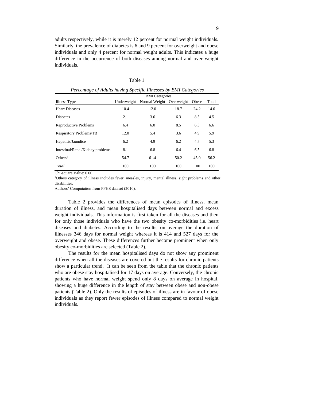adults respectively, while it is merely 12 percent for normal weight individuals. Similarly, the prevalence of diabetes is 6 and 9 percent for overweight and obese individuals and only 4 percent for normal weight adults. This indicates a huge difference in the occurrence of both diseases among normal and over weight individuals.

|--|--|

| $\tilde{}$                       |                       |                          |      | $\checkmark$ |       |  |
|----------------------------------|-----------------------|--------------------------|------|--------------|-------|--|
|                                  | <b>BMI</b> Categories |                          |      |              |       |  |
| Illness Type                     | Underweight           | Normal Weight Overweight |      | Obese        | Total |  |
| <b>Heart Diseases</b>            | 10.4                  | 12.0                     | 18.7 | 24.2         | 14.6  |  |
| <b>Diabetes</b>                  | 2.1                   | 3.6                      | 6.3  | 8.5          | 4.5   |  |
| Reproductive Problems            | 6.4                   | 6.0                      | 8.5  | 6.3          | 6.6   |  |
| <b>Respiratory Problems/TB</b>   | 12.0                  | 5.4                      | 3.6  | 4.9          | 5.9   |  |
| Hepatitis/Jaundice               | 6.2                   | 4.9                      | 6.2  | 4.7          | 5.3   |  |
| Intestinal/Renal/Kidney problems | 8.1                   | 6.8                      | 6.4  | 6.5          | 6.8   |  |
| Others <sup>1</sup>              | 54.7                  | 61.4                     | 50.2 | 45.0         | 56.2  |  |
| Total                            | 100                   | 100                      | 100  | 100          | 100   |  |
|                                  |                       |                          |      |              |       |  |

*Percentage of Adults having Specific Illnesses by BMI Categories*

Chi-square Value: 0.00.

<sup>1</sup>Others category of illness includes fever, measles, injury, mental illness, sight problems and other disabilities.

Authors' Computation from PPHS dataset (2010).

Table 2 provides the differences of mean episodes of illness, mean duration of illness, and mean hospitalised days between normal and excess weight individuals. This information is first taken for all the diseases and then for only those individuals who have the two obesity co-morbidities i.e. heart diseases and diabetes. According to the results, on average the duration of illnesses 346 days for normal weight whereas it is 414 and 527 days for the overweight and obese. These differences further become prominent when only obesity co-morbidities are selected (Table 2).

The results for the mean hospitalised days do not show any prominent difference when all the diseases are covered but the results for chronic patients show a particular trend. It can be seen from the table that the chronic patients who are obese stay hospitalised for 17 days on average. Conversely, the chronic patients who have normal weight spend only 8 days on average in hospital, showing a huge difference in the length of stay between obese and non-obese patients (Table 2). Only the results of episodes of illness are in favour of obese individuals as they report fewer episodes of illness compared to normal weight individuals.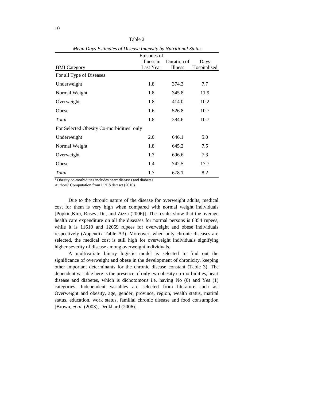| <i>Mean Days Esumates of Disease Intensity by Nutritional Status</i> |             |             |              |  |  |  |
|----------------------------------------------------------------------|-------------|-------------|--------------|--|--|--|
|                                                                      | Episodes of |             |              |  |  |  |
|                                                                      | Illness in  | Duration of | Days         |  |  |  |
| <b>BMI</b> Category                                                  | Last Year   | Illness     | Hospitalised |  |  |  |
| For all Type of Diseases                                             |             |             |              |  |  |  |
| Underweight                                                          | 1.8         | 374.3       | 7.7          |  |  |  |
| Normal Weight                                                        | 1.8         | 345.8       | 11.9         |  |  |  |
| Overweight                                                           | 1.8         | 414.0       | 10.2         |  |  |  |
| Obese                                                                | 1.6         | 526.8       | 10.7         |  |  |  |
| Total                                                                | 1.8         | 384.6       | 10.7         |  |  |  |
| For Selected Obesity Co-morbidities <sup>1</sup> only                |             |             |              |  |  |  |
| Underweight                                                          | 2.0         | 646.1       | 5.0          |  |  |  |
| Normal Weight                                                        | 1.8         | 645.2       | 7.5          |  |  |  |
| Overweight                                                           | 1.7         | 696.6       | 7.3          |  |  |  |
| Obese                                                                | 1.4         | 742.5       | 17.7         |  |  |  |
| Total                                                                | 1.7         | 678.1       | 8.2          |  |  |  |

Table 2 *Mean Days Estimates of Disease Intensity by Nutritional Status*

 $\frac{1}{1}$  Obesity co-morbidities includes heart diseases and diabetes.

Authors' Computation from PPHS dataset (2010).

Due to the chronic nature of the disease for overweight adults, medical cost for them is very high when compared with normal weight individuals [Popkin,Kim, Rusev, Du, and Zizza (2006)]. The results show that the average health care expenditure on all the diseases for normal persons is 8854 rupees, while it is 11610 and 12069 rupees for overweight and obese individuals respectively (Appendix Table A3). Moreover, when only chronic diseases are selected, the medical cost is still high for overweight individuals signifying higher severity of disease among overweight individuals.

A multivariate binary logistic model is selected to find out the significance of overweight and obese in the development of chronicity, keeping other important determinants for the chronic disease constant (Table 3). The dependent variable here is the presence of only two obesity co-morbidities, heart disease and diabetes, which is dichotomous i.e. having No (0) and Yes (1) categories. Independent variables are selected from literature such as: Overweight and obesity, age, gender, province, region, wealth status, marital status, education, work status, familial chronic disease and food consumption [Brown, *et al*. (2003); Dedkhard (2006)].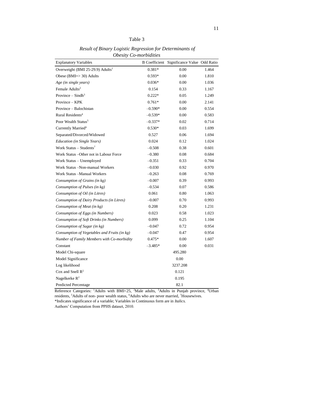| abie |  |
|------|--|
|      |  |

| <i>Ovesny</i><br><b>Explanatory Variables</b> | $C$ <sup>-</sup> <i>ntorvidutes</i><br><b>B</b> Coefficient | Significance Value Odd Ratio |       |
|-----------------------------------------------|-------------------------------------------------------------|------------------------------|-------|
| Overweight (BMI 25-29.9) Adults <sup>1</sup>  | 0.381*                                                      | 0.00                         | 1.464 |
| Obese ( $BMI = > 30$ ) Adults                 | $0.593*$                                                    | 0.00                         | 1.810 |
| Age (in single years)                         | $0.036*$                                                    | 0.00                         | 1.036 |
| Female Adults <sup>2</sup>                    | 0.154                                                       | 0.33                         | 1.167 |
| Province $-$ Sindh <sup>3</sup>               | $0.222*$                                                    | 0.05                         | 1.249 |
| Province – KPK                                | $0.761*$                                                    | 0.00                         | 2.141 |
| Province - Balochistan                        | $-0.590*$                                                   | 0.00                         | 0.554 |
| Rural Residents <sup>4</sup>                  | $-0.539*$                                                   | 0.00                         | 0.583 |
| Poor Wealth Status <sup>5</sup>               | $-0.337*$                                                   | 0.02                         | 0.714 |
| Currently Married <sup>6</sup>                | $0.530*$                                                    | 0.03                         | 1.699 |
| Separated/Divorced/Widowed                    | 0.527                                                       | 0.06                         | 1.694 |
| <b>Education</b> (in Single Years)            | 0.024                                                       | 0.12                         | 1.024 |
| Work Status – Students <sup>7</sup>           | $-0.508$                                                    | 0.38                         | 0.601 |
| Work Status – Other not in Labour Force       | $-0.380$                                                    | 0.08                         | 0.684 |
| Work Status - Unemployed                      | $-0.351$                                                    | 0.33                         | 0.704 |
| Work Status -Non-manual Workers               | $-0.030$                                                    | 0.92                         | 0.970 |
| Work Status -Manual Workers                   | $-0.263$                                                    | $0.08\,$                     | 0.769 |
| Consumption of Grains (in kg)                 | $-0.007$                                                    | 0.39                         | 0.993 |
| Consumption of Pulses (in kg)                 | $-0.534$                                                    | 0.07                         | 0.586 |
| Consumption of Oil (in Litres)                | 0.061                                                       | 0.80                         | 1.063 |
| Consumption of Dairy Products (in Litres)     | $-0.007$                                                    | 0.70                         | 0.993 |
| Consumption of Meat (in kg)                   | 0.208                                                       | 0.20                         | 1.231 |
| Consumption of Eggs (in Numbers)              | 0.023                                                       | 0.58                         | 1.023 |
| Consumption of Soft Drinks (in Numbers)       | 0.099                                                       | 0.25                         | 1.104 |
| Consumption of Sugar (in kg)                  | $-0.047$                                                    | 0.72                         | 0.954 |
| Consumption of Vegetables and Fruits (in kg)  | $-0.047$                                                    | 0.47                         | 0.954 |
| Number of Family Members with Co-morbidity    | $0.475*$                                                    | 0.00                         | 1.607 |
| Constant                                      | $-3.485*$                                                   | 0.00                         | 0.031 |
| Model Chi-square                              |                                                             | 495.280                      |       |
| Model Significance                            |                                                             | 0.00                         |       |
| Log likelihood                                |                                                             | 3237.208                     |       |
| Cox and Snell $R^2$                           |                                                             | 0.121                        |       |
| Nagelkerke $R^2$                              |                                                             | 0.195                        |       |
| <b>Predicted Percentage</b>                   |                                                             | 82.1                         |       |

*Result of Binary Logistic Regression for Determinants of Obesity Co-morbidities*

Reference Categories: <sup>1</sup>Adults with BMI<25, <sup>2</sup>Male adults, <sup>3</sup>Adults in Punjab province, <sup>4</sup>Urban residents, <sup>5</sup>Adults of non- poor wealth status, <sup>6</sup>Adults who are never married, <sup>7</sup>Housewives. \*Indicates significance of a variable; Variables in Continuous form are in *Italics.*

Authors' Computation from PPHS dataset, 2010.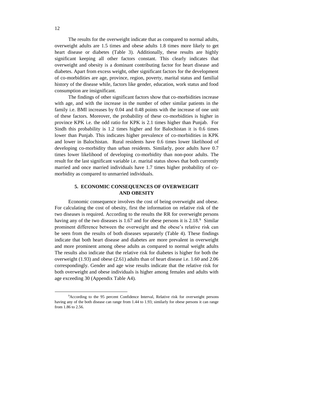The results for the overweight indicate that as compared to normal adults, overweight adults are 1.5 times and obese adults 1.8 times more likely to get heart disease or diabetes (Table 3). Additionally, these results are highly significant keeping all other factors constant. This clearly indicates that overweight and obesity is a dominant contributing factor for heart disease and diabetes. Apart from excess weight, other significant factors for the development of co-morbidities are age, province, region, poverty, marital status and familial history of the disease while, factors like gender, education, work status and food consumption are insignificant.

The findings of other significant factors show that co-morbidities increase with age, and with the increase in the number of other similar patients in the family i.e. BMI increases by 0.04 and 0.48 points with the increase of one unit of these factors. Moreover, the probability of these co-morbidities is higher in province KPK i.e. the odd ratio for KPK is 2.1 times higher than Punjab. For Sindh this probability is 1.2 times higher and for Balochistan it is 0.6 times lower than Punjab. This indicates higher prevalence of co-morbidities in KPK and lower in Balochistan. Rural residents have 0.6 times lower likelihood of developing co-morbidity than urban residents. Similarly, poor adults have 0.7 times lower likelihood of developing co-morbidity than non-poor adults. The result for the last significant variable i.e. marital status shows that both currently married and once married individuals have 1.7 times higher probability of comorbidity as compared to unmarried individuals.

# **5. ECONOMIC CONSEQUENCES OF OVERWEIGHT AND OBESITY**

Economic consequence involves the cost of being overweight and obese. For calculating the cost of obesity, first the information on relative risk of the two diseases is required. According to the results the RR for overweight persons having any of the two diseases is 1.67 and for obese persons it is 2.18.<sup>9</sup> Similar prominent difference between the overweight and the obese's relative risk can be seen from the results of both diseases separately (Table 4). These findings indicate that both heart disease and diabetes are more prevalent in overweight and more prominent among obese adults as compared to normal weight adults The results also indicate that the relative risk for diabetes is higher for both the overweight (1.93) and obese (2.61) adults than of heart disease i.e. 1.60 and 2.06 correspondingly. Gender and age wise results indicate that the relative risk for both overweight and obese individuals is higher among females and adults with age exceeding 30 (Appendix Table A4).

l

<sup>9</sup>According to the 95 percent Confidence Interval, Relative risk for overweight persons having any of the both disease can range from 1.44 to 1.93; similarly for obese persons it can range from 1.86 to 2.56.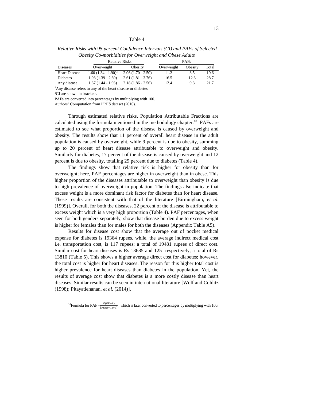#### Table 4

| <b>Relative Risks</b> |                       |                     |            | <b>PAFs</b> |       |
|-----------------------|-----------------------|---------------------|------------|-------------|-------|
| <b>Diseases</b>       | Overweight            | Obesity             | Overweight | Obesity     | Total |
| <b>Heart Disease</b>  | $1.60(1.34 - 1.90)^2$ | $2.06(1.70 - 2.50)$ | 11.2       | 8.5         | 19.6  |
| Diabetes              | $1.93(1.39 - 2.69)$   | $2.61(1.81 - 3.76)$ | 16.5       | 12.3        | 28.7  |
| Any disease           | $1.67(1.44 - 1.93)$   | $2.18(1.86 - 2.56)$ | 12.4       | 9.3         | 21.7  |

*Relative Risks with 95 percent Confidence Intervals (CI) and PAFs of Selected Obesity Co-morbidities for Overweight and Obese Adults*

<sup>1</sup>Any disease refers to any of the heart disease or diabetes.

<sup>2</sup>CI are shown in brackets.

 $\overline{\phantom{a}}$ 

PAFs are converted into percentages by multiplying with 100.

Authors' Computation from PPHS dataset (2010).

Through estimated relative risks, Population Attributable Fractions are calculated using the formula mentioned in the methodology chapter.<sup>10</sup> PAFs are estimated to see what proportion of the disease is caused by overweight and obesity. The results show that 11 percent of overall heart disease in the adult population is caused by overweight, while 9 percent is due to obesity, summing up to 20 percent of heart disease attributable to overweight and obesity. Similarly for diabetes, 17 percent of the disease is caused by overweight and 12 percent is due to obesity, totalling 29 percent due to diabetes (Table 4).

The findings show that relative risk is higher for obesity than for overweight; here, PAF percentages are higher in overweight than in obese. This higher proportion of the diseases attributable to overweight than obesity is due to high prevalence of overweight in population. The findings also indicate that excess weight is a more dominant risk factor for diabetes than for heart disease. These results are consistent with that of the literature [Birmingham, *et al.* (1999)]. Overall, for both the diseases, 22 percent of the disease is attributable to excess weight which is a very high proportion (Table 4). PAF percentages, when seen for both genders separately, show that disease burden due to excess weight is higher for females than for males for both the diseases (Appendix Table A5).

Results for disease cost show that the average out of pocket medical expense for diabetes is 19364 rupees, while, the average indirect medical cost i.e. transportation cost, is 117 rupees; a total of 19481 rupees of direct cost. Similar cost for heart diseases is Rs 13685 and 125 respectively, a total of Rs 13810 (Table 5). This shows a higher average direct cost for diabetes; however, the total cost is higher for heart diseases. The reason for this higher total cost is higher prevalence for heart diseases than diabetes in the population. Yet, the results of average cost show that diabetes is a more costly disease than heart diseases. Similar results can be seen in international literature [Wolf and Colditz (1998); Pitayatienanan, *et al.* (2014)].

<sup>&</sup>lt;sup>10</sup>Formula for PAF  $=\frac{P(RR-1)}{[P(RR-1)+1]}$ ; which is later converted to percentages by multiplying with 100.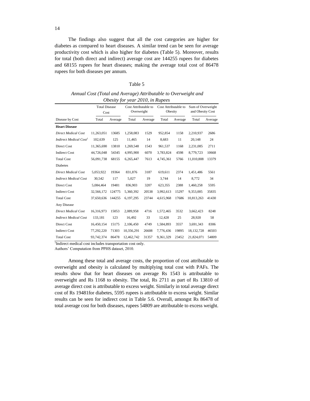The findings also suggest that all the cost categories are higher for diabetes as compared to heart diseases. A similar trend can be seen for average productivity cost which is also higher for diabetes (Table 5). Moreover, results for total (both direct and indirect) average cost are 144255 rupees for diabetes and 68155 rupees for heart diseases; making the average total cost of 86478 rupees for both diseases per annum.

#### Table 5

| Annual Cost (Total and Average) Attributable to Overweight and |
|----------------------------------------------------------------|
| <i>Obesity for year 2010, in Rupees</i>                        |

|                                                                     | <b>Total Disease</b><br>Cost  |         | Cost Attributable to<br>Overweight |         | Cost Attributable to<br>Obesity |         | Sum of Overweight<br>and Obesity Cost |         |
|---------------------------------------------------------------------|-------------------------------|---------|------------------------------------|---------|---------------------------------|---------|---------------------------------------|---------|
| Disease by Cost                                                     | Total                         | Average | Total                              | Average | Total                           | Average | Total                                 | Average |
| <b>Heart Disease</b>                                                |                               |         |                                    |         |                                 |         |                                       |         |
| <b>Direct Medical Cost</b>                                          | 11,263,051                    | 13685   | 1,258,083                          | 1529    | 952,854                         | 1158    | 2,210,937                             | 2686    |
| Indirect Medical Cost <sup>1</sup>                                  | 102,639                       | 125     | 11,465                             | 14      | 8,683                           | 11      | 20,148                                | 24      |
| Direct Cost                                                         | 11,365,690                    | 13810   | 1,269,548                          | 1543    | 961,537                         | 1168    | 2,231,085                             | 2711    |
| <b>Indirect Cost</b>                                                | 44,726,048                    | 54345   | 4,995,900                          | 6070    | 3,783,824                       | 4598    | 8,779,723                             | 10668   |
| <b>Total Cost</b>                                                   | 56,091,738                    | 68155   | 6,265,447                          | 7613    | 4,745,361                       | 5766    | 11,010,808                            | 13379   |
| <b>Diabetes</b>                                                     |                               |         |                                    |         |                                 |         |                                       |         |
| <b>Direct Medical Cost</b>                                          | 5,053,922                     | 19364   | 831,876                            | 3187    | 619,611                         | 2374    | 1,451,486                             | 5561    |
| <b>Indirect Medical Cost</b>                                        | 30.542                        | 117     | 5,027                              | 19      | 3.744                           | 14      | 8,772                                 | 34      |
| Direct Cost                                                         | 5,084,464                     | 19481   | 836,903                            | 3207    | 623,355                         | 2388    | 1,460,258                             | 5595    |
| <b>Indirect Cost</b>                                                | 32,566,172                    | 124775  | 5,360,392                          | 20538   | 3,992,613                       | 15297   | 9,353,005                             | 35835   |
| <b>Total Cost</b>                                                   | 37,650,636                    | 144255  | 6,197,295                          | 23744   | 4,615,968                       | 17686   | 10,813,263                            | 41430   |
| Any Disease                                                         |                               |         |                                    |         |                                 |         |                                       |         |
| <b>Direct Medical Cost</b>                                          | 16,316,973                    | 15053   | 2,089,958                          | 4716    | 1,572,465                       | 3532    | 3,662,423                             | 8248    |
| <b>Indirect Medical Cost</b>                                        | 133,181                       | 123     | 16,492                             | 33      | 12,428                          | 25      | 28,920                                | 58      |
| Direct Cost                                                         | 16,450,154                    | 15175   | 2,106,450                          | 4749    | 1,584,893                       | 3557    | 3,691,343                             | 8306    |
| <b>Indirect Cost</b>                                                | 77,292,220                    | 71303   | 10,356,291                         | 26608   | 7,776,436                       | 19895   | 18,132,728                            | 46503   |
| <b>Total Cost</b><br>$1x - 1$<br>$\sim$ $\sim$ $\sim$ $\sim$ $\sim$ | 93,742,374<br>$2 + 1 + 1 = 2$ | 86478   | 12,462,742<br>$\blacksquare$       | 31357   | 9,361,329                       | 23452   | 21,824,071                            | 54809   |

1 Indirect medical cost includes transportation cost only.

Authors' Computation from PPHS dataset, 2010.

Among these total and average costs, the proportion of cost attributable to overweight and obesity is calculated by multiplying total cost with PAFs. The results show that for heart diseases on average Rs 1543 is attributable to overweight and Rs 1168 to obesity. The total, Rs 2711 as part of Rs 13810 of average direct cost is attributable to excess weight. Similarly in total average direct cost of Rs 19481for diabetes, 5595 rupees is attributable to excess weight. Similar results can be seen for indirect cost in Table 5.6. Overall, amongst Rs 86478 of total average cost for both diseases, rupees 54809 are attributable to excess weight.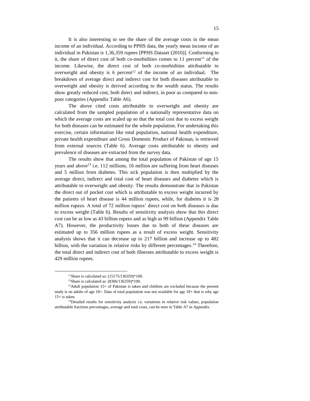It is also interesting to see the share of the average costs in the mean income of an individual. According to PPHS data, the yearly mean income of an individual in Pakistan is 1,36,359 rupees [PPHS Dataset (2010)]. Conforming to it, the share of direct cost of both co-morbidities comes to  $11$  percent<sup>11</sup> of the income. Likewise, the direct cost of both co-morbidities attributable to overweight and obesity is 6 percent<sup>12</sup> of the income of an individual. The breakdown of average direct and indirect cost for both diseases attributable to overweight and obesity is derived according to the wealth status. The results show greatly reduced cost, both direct and indirect, in poor as compared to nonpoor categories (Appendix Table A6).

The above cited costs attributable to overweight and obesity are calculated from the sampled population of a nationally representative data on which the average costs are scaled up so that the total cost due to excess weight for both diseases can be estimated for the whole population. For undertaking this exercise, certain information like total population, national health expenditure, private health expenditure and Gross Domestic Product of Pakistan, is retrieved from external sources (Table 6). Average costs attributable to obesity and prevalence of diseases are extracted from the survey data.

The results show that among the total population of Pakistan of age 15 years and above<sup>13</sup> i.e. 112 millions, 16 million are suffering from heart diseases and 5 million from diabetes. This sick population is then multiplied by the average direct, indirect and total cost of heart diseases and diabetes which is attributable to overweight and obesity. The results demonstrate that in Pakistan the direct out of pocket cost which is attributable to excess weight incurred by the patients of heart disease is 44 million rupees, while, for diabetes it is 28 million rupees. A total of 72 million rupees' direct cost on both diseases is due to excess weight (Table 6). Results of sensitivity analysis show that this direct cost can be as low as 43 billion rupees and as high as 99 billion (Appendix Table A7). However, the productivity losses due to both of these diseases are estimated up to 356 million rupees as a result of excess weight. Sensitivity analysis shows that it can decrease up to 217 billion and increase up to 482 billion, with the variation in relative risks by different percentages.<sup>14</sup> Therefore, the total direct and indirect cost of both illnesses attributable to excess weight is 429 million rupees.

l

<sup>&</sup>lt;sup>11</sup>Share is calculated as: (15175/136359)\*100.

<sup>12</sup>Share is calculated as: (8306/136359)\*100.

 $13$ Adult population 15+ of Pakistan is taken and children are excluded because the present study is on adults of age 18+. Data of total population was not available for age 18+ that is why age  $15+$  is taken.

<sup>&</sup>lt;sup>14</sup>Detailed results for sensitivity analysis i.e. variations in relative risk values, population attributable fractions percentages, average and total costs, can be seen in Table A7 in Appendix.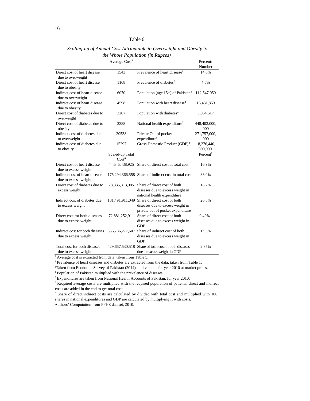|                                                         | Average Cost <sup>1</sup>            |                                                                                                                       | Percent/<br>Number     |
|---------------------------------------------------------|--------------------------------------|-----------------------------------------------------------------------------------------------------------------------|------------------------|
| Direct cost of heart disease                            | 1543                                 | Prevalence of heart Disease <sup>2</sup>                                                                              | 14.6%                  |
| due to overweight                                       |                                      |                                                                                                                       |                        |
| Direct cost of heart disease<br>due to obesity          | 1168                                 | Prevalence of diabetes <sup>2</sup>                                                                                   | 4.5%                   |
| Indirect cost of heart disease<br>due to overweight     | 6070                                 | Population (age $15+$ ) of Pakistan <sup>3</sup>                                                                      | 112,547,050            |
| Indirect cost of heart disease<br>due to obesity        | 4598                                 | Population with heart disease <sup>4</sup>                                                                            | 16,431,869             |
| Direct cost of diabetes due to<br>overweight            | 3207                                 | Population with diabetes <sup>4</sup>                                                                                 | 5,064,617              |
| Direct cost of diabetes due to<br>obesity               | 2388                                 | National health expenditure <sup>5</sup>                                                                              | 448,403,000,<br>000    |
| Indirect cost of diabetes due                           | 20538                                | Private Out of pocket                                                                                                 | 271,757,000,           |
| to overweight                                           |                                      | expenditure <sup>5</sup>                                                                                              | 000                    |
| Indirect cost of diabetes due<br>to obesity             | 15297                                | Gross Domestic Product [GDP] <sup>3</sup>                                                                             | 18,276,440,<br>000,000 |
|                                                         | Scaled-up Total<br>Cost <sup>6</sup> |                                                                                                                       | Percent <sup>7</sup>   |
| Direct cost of heart disease<br>due to excess weight    |                                      | 44,545,438,925 Share of direct cost in total cost                                                                     | 16.9%                  |
| Indirect cost of heart disease<br>due to excess weight  |                                      | 175,294,366,558 Share of indirect cost in total cost                                                                  | 83.0%                  |
| Direct cost of diabetes due to<br>excess weight         | 28,335,813,985                       | Share of direct cost of both<br>diseases due to excess weight in<br>national health expenditure                       | 16.2%                  |
| Indirect cost of diabetes due<br>to excess weight       |                                      | 181,491,911,049 Share of direct cost of both<br>diseases due to excess weight in<br>private out of pocket expenditure | 26.8%                  |
| Direct cost for both diseases<br>due to excess weight   | 72,881,252,911                       | Share of direct cost of both<br>diseases due to excess weight in<br><b>GDP</b>                                        | 0.40%                  |
| Indirect cost for both diseases<br>due to excess weight | 356,786,277,607                      | Share of indirect cost of both<br>diseases due to excess weight in<br><b>GDP</b>                                      | 1.95%                  |
| Total cost for both diseases<br>due to excess weight    | 429,667,530,518                      | Share of total cost of both diseases<br>due to excess weight in GDP                                                   | 2.35%                  |

*Scaling-up of Annual Cost Attributable to Overweight and Obesity to the Whole Population (in Rupees)*

<sup>1</sup> Average cost is extracted from data, taken from Table 5.

<sup>2</sup> Prevalence of heart diseases and diabetes are extracted from the data, taken from Table 1.

<sup>3</sup>Taken from Economic Survey of Pakistan (2014), and value is for year 2010 at market prices.

<sup>4</sup> Population of Pakistan multiplied with the prevalence of diseases.

<sup>5</sup> Expenditures are taken from National Health Accounts of Pakistan, for year 2010.

<sup>6</sup> Required average costs are multiplied with the required population of patients; direct and indirect costs are added in the end to get total cost.

<sup>7</sup> Share of direct/indirect costs are calculated by divided with total cost and multiplied with 100; shares in national expenditures and GDP are calculated by multiplying it with costs. Authors' Computation from PPHS dataset, 2010.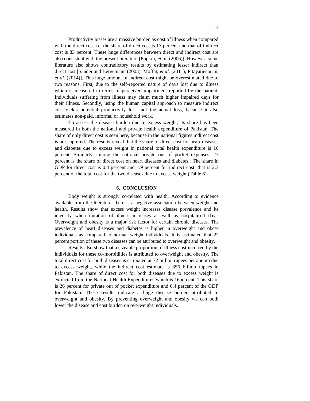Productivity losses are a massive burden as cost of illness when compared with the direct cost i.e. the share of direct cost is 17 percent and that of indirect cost is 83 percent. These huge differences between direct and indirect cost are also consistent with the present literature [Popkin, *et al.* (2006)]. However, some literature also shows contradictory results by estimating lesser indirect than direct cost [Sander and Bergemann (2003); Moffat, *et al.* (2011); Pitayatienanan, *et al.* (2014)]. This huge amount of indirect cost might be overestimated due to two reasons. First, due to the self-reported nature of days lost due to illness which is measured in terms of perceived impairment reported by the patient. Individuals suffering from illness may claim much higher impaired days for their illness. Secondly, using the human capital approach to measure indirect cost yields potential productivity loss, not the actual loss, because it also estimates non-paid, informal or household work.

To assess the disease burden due to excess weight, its share has been measured in both the national and private health expenditure of Pakistan. The share of only direct cost is seen here, because in the national figures indirect cost is not captured. The results reveal that the share of direct cost for heart diseases and diabetes due to excess weight in national total health expenditure is 16 percent. Similarly, among the national private out of pocket expenses, 27 percent is the share of direct cost on heart diseases and diabetes.. The share in GDP for direct cost is 0.4 percent and 1.9 percent for indirect cost; that is 2.3 percent of the total cost for the two diseases due to excess weight (Table 6).

#### **6. CONCLUSION**

Body weight is strongly co-related with health. According to evidence available from the literature, there is a negative association between weight and health. Results show that excess weight increases disease prevalence and its intensity when duration of illness increases as well as hospitalised days. Overweight and obesity is a major risk factor for certain chronic diseases. The prevalence of heart diseases and diabetes is higher in overweight and obese individuals as compared to normal weight individuals. It is estimated that 22 percent portion of these two diseases can be attributed to overweight and obesity.

Results also show that a sizeable proportion of illness cost incurred by the individuals for these co-morbidities is attributed to overweight and obesity. The total direct cost for both diseases is estimated at 72 billion rupees per annum due to excess weight, while the indirect cost estimate is 356 billion rupees in Pakistan. The share of direct cost for both diseases due to excess weight is extracted from the National Health Expenditures which is 16percent. This share is 26 percent for private out of pocket expenditure and 0.4 percent of the GDP for Pakistan. These results indicate a huge disease burden attributed to overweight and obesity. By preventing overweight and obesity we can both lower the disease and cost burden on overweight individuals.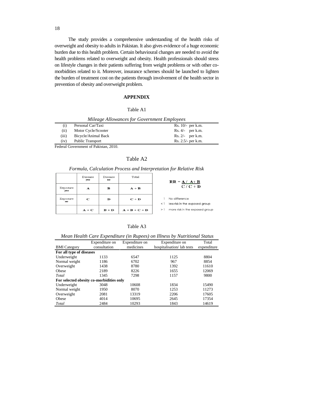The study provides a comprehensive understanding of the health risks of overweight and obesity to adults in Pakistan. It also gives evidence of a huge economic burden due to this health problem. Certain behavioural changes are needed to avoid the health problems related to overweight and obesity. Health professionals should stress on lifestyle changes in their patients suffering from weight problems or with other comorbidities related to it. Moreover, insurance schemes should be launched to lighten the burden of treatment cost on the patients through involvement of the health sector in prevention of obesity and overweight problem.

#### **APPENDIX**

#### Table A1

|       | Mileage Allowances for Government Employees |                      |
|-------|---------------------------------------------|----------------------|
| (i)   | Personal Car/Taxi                           | Rs. $10/-$ per k.m.  |
| (ii)  | Motor Cycle/Scooter                         | $Rs. 4/-$ per k.m.   |
| (iii) | Bicycle/Animal Back                         | $Rs. 2/-$ per k.m.   |
| (iv)  | Public Transport                            | $Rs. 2.5/-$ per k.m. |

Federal Government of Pakistan, 2010.

#### Table A2

*Formula, Calculation Process and Interpretation for Relative Risk*

|                 | Disease<br>yes | Disease<br>no | Total           | $RR = A / A + B$                                         |  |
|-----------------|----------------|---------------|-----------------|----------------------------------------------------------|--|
| Exposure<br>yes | A              | в             | $A + B$         | $C/C + D$                                                |  |
| Exposure<br>no  | C              | D             | $C + D$         | No difference<br>less risk in the exposed group<br>$<$ 1 |  |
|                 | $A + C$        | $B + D$       | $A + B + C + D$ | more risk in the exposed group<br>>1                     |  |

| able A |  |
|--------|--|
|--------|--|

*Mean Health Care Expenditure (in Rupees) on Illness by Nutritional Status*

|                                          | Expenditure on | Expenditure on | Expenditure on            | Total       |
|------------------------------------------|----------------|----------------|---------------------------|-------------|
| <b>BMI</b> Category                      | consultation   | medicines      | hospitalisation/lab tests | expenditure |
| For all type of diseases                 |                |                |                           |             |
| Underweight                              | 1133           | 6547           | 1125                      | 8804        |
| Normal weight                            | 1186           | 6702           | 967                       | 8854        |
| Overweight                               | 1438           | 8780           | 1392                      | 11610       |
| Obese                                    | 2189           | 8226           | 1655                      | 12069       |
| Total                                    | 1345           | 7298           | 1157                      | 9800        |
| For selected obesity co-morbidities only |                |                |                           |             |
| Underweight                              | 3048           | 10608          | 1834                      | 15490       |
| Normal weight                            | 1950           | 8070           | 1253                      | 11273       |
| Overweight                               | 2081           | 13319          | 2206                      | 17605       |
| Obese                                    | 4014           | 10695          | 2645                      | 17354       |
| Total                                    | 2484           | 10293          | 1843                      | 14619       |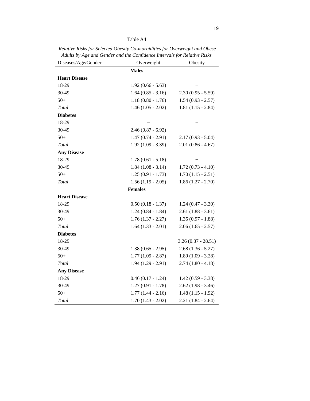# Table A4

*Relative Risks for Selected Obesity Co-morbidities for Overweight and Obese Adults by Age and Gender and the Confidence Intervals for Relative Risks*

| Diseases/Age/Gender  | Overweight          | Obesity              |
|----------------------|---------------------|----------------------|
|                      | <b>Males</b>        |                      |
| <b>Heart Disease</b> |                     |                      |
| 18-29                | $1.92(0.66 - 5.63)$ |                      |
| 30-49                | $1.64(0.85 - 3.16)$ | $2.30(0.95 - 5.59)$  |
| $50+$                | $1.18(0.80 - 1.76)$ | $1.54(0.93 - 2.57)$  |
| Total                | $1.46(1.05 - 2.02)$ | $1.81(1.15 - 2.84)$  |
| <b>Diabetes</b>      |                     |                      |
| 18-29                |                     |                      |
| 30-49                | $2.46(0.87 - 6.92)$ |                      |
| $50+$                | $1.47(0.74 - 2.91)$ | $2.17(0.93 - 5.04)$  |
| Total                | $1.92(1.09 - 3.39)$ | $2.01(0.86 - 4.67)$  |
| <b>Any Disease</b>   |                     |                      |
| 18-29                | $1.78(0.61 - 5.18)$ |                      |
| 30-49                | $1.84(1.08 - 3.14)$ | $1.72(0.73 - 4.10)$  |
| $50+$                | $1.25(0.91 - 1.73)$ | $1.70(1.15 - 2.51)$  |
| Total                | $1.56(1.19 - 2.05)$ | $1.86(1.27 - 2.70)$  |
|                      | <b>Females</b>      |                      |
| <b>Heart Disease</b> |                     |                      |
| 18-29                | $0.50(0.18 - 1.37)$ | $1.24(0.47 - 3.30)$  |
| 30-49                | $1.24(0.84 - 1.84)$ | $2.61(1.88 - 3.61)$  |
| $50+$                | $1.76(1.37 - 2.27)$ | $1.35(0.97 - 1.88)$  |
| Total                | $1.64(1.33 - 2.01)$ | $2.06(1.65 - 2.57)$  |
| <b>Diabetes</b>      |                     |                      |
| 18-29                |                     | $3.26(0.37 - 28.51)$ |
| 30-49                | $1.38(0.65 - 2.95)$ | $2.68(1.36 - 5.27)$  |
| $50+$                | $1.77(1.09 - 2.87)$ | $1.89(1.09 - 3.28)$  |
| Total                | $1.94(1.29 - 2.91)$ | $2.74(1.80 - 4.18)$  |
| <b>Any Disease</b>   |                     |                      |
| 18-29                | $0.46(0.17 - 1.24)$ | $1.42(0.59 - 3.38)$  |
| 30-49                | $1.27(0.91 - 1.78)$ | $2.62(1.98 - 3.46)$  |
| $50+$                | $1.77(1.44 - 2.16)$ | $1.48(1.15 - 1.92)$  |
| Total                | $1.70(1.43 - 2.02)$ | $2.21(1.84 - 2.64)$  |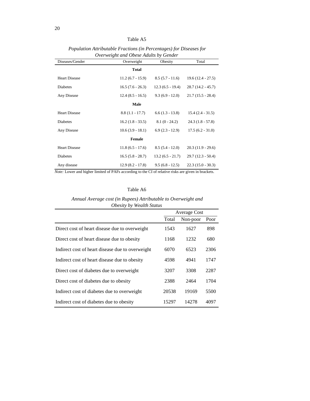Table A5

| Diseases/Gender      | Overweight         | Obesity            | Total               |
|----------------------|--------------------|--------------------|---------------------|
|                      | <b>Total</b>       |                    |                     |
| <b>Heart Disease</b> | $11.2(6.7 - 15.9)$ | $8.5(5.7 - 11.6)$  | $19.6(12.4 - 27.5)$ |
| <b>Diabetes</b>      | $16.5(7.6 - 26.3)$ | $12.3(6.5 - 19.4)$ | $28.7(14.2 - 45.7)$ |
| Any Disease          | $12.4(8.5 - 16.5)$ | $9.3(6.9 - 12.0)$  | $21.7(15.5 - 28.4)$ |
|                      | Male               |                    |                     |
| <b>Heart Disease</b> | $8.8(1.1 - 17.7)$  | $6.6(1.3 - 13.8)$  | $15.4(2.4 - 31.5)$  |
| <b>Diabetes</b>      | $16.2(1.8 - 33.5)$ | $8.1(0 - 24.2)$    | $24.3(1.8 - 57.8)$  |
| Any Disease          | $10.6(3.9 - 18.1)$ | $6.9(2.3 - 12.9)$  | $17.5(6.2 - 31.0)$  |
|                      | <b>Female</b>      |                    |                     |
| <b>Heart Disease</b> | $11.8(6.5 - 17.6)$ | $8.5(5.4 - 12.0)$  | $20.3(11.9 - 29.6)$ |
| <b>Diabetes</b>      | $16.5(5.8 - 28.7)$ | $13.2(6.5 - 21.7)$ | $29.7(12.3 - 50.4)$ |
| Any disease          | $12.9(8.2 - 17.8)$ | $9.5(6.8 - 12.5)$  | $22.3(15.0 - 30.3)$ |

*Population Attributable Fractions (in Percentages) for Diseases for Overweight and Obese Adults by Gender*

*Note:* Lower and higher limited of PAFs according to the CI of relative risks are given in brackets.

| Table A6 |  |
|----------|--|
|----------|--|

# *Annual Average cost (in Rupees) Attributable to Overweight and Obesity by Wealth Status*

|                                                  | Average Cost |          |      |
|--------------------------------------------------|--------------|----------|------|
|                                                  | Total        | Non-poor | Poor |
| Direct cost of heart disease due to overweight   | 1543         | 1627     | 898  |
| Direct cost of heart disease due to obesity      | 1168         | 1232     | 680  |
| Indirect cost of heart disease due to overweight | 6070         | 6523     | 2306 |
| Indirect cost of heart disease due to obesity    | 4598         | 4941     | 1747 |
| Direct cost of diabetes due to overweight        | 3207         | 3308     | 2287 |
| Direct cost of diabetes due to obesity           | 2388         | 2464     | 1704 |
| Indirect cost of diabetes due to overweight      | 20538        | 19169    | 5500 |
| Indirect cost of diabetes due to obesity         | 15297        | 14278    | 4097 |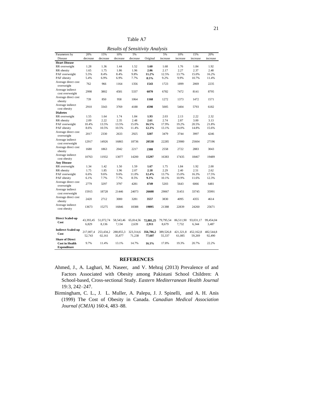| able |
|------|
|------|

*Results of Sensitivity Analysis* Parameters by Disease 20% decreas 15% decrea 10% decreas 5% decrease Original 5% increas 10% increas 15% increa 20% increase **Heart Disease** RR overweight 1.28 1.36 1.44 1.52 **1.60** 1.68 1.76 1.84 1.92 RR obesity 1.65 1.75 1.86 1.96 **2.06** 2.17 2.27 2.37 2.48 PAF overweight 5.5% 8.4% 8.4% 9.8% **11.2%** 12.5% 13.7% 15.0% 16.2% PAF obesity 5.4% 6.9% 6.9% 7.7% **8.5%** 9.2% 9.9% 10.7% 11.4% Average direct cost overweight <sup>762</sup> <sup>966</sup> <sup>1164</sup> <sup>1356</sup> **<sup>1543</sup>** <sup>1723</sup> <sup>1899</sup> <sup>2069</sup> <sup>2235</sup> Average indirect cost overweight <sup>2998</sup> <sup>3802</sup> <sup>4581</sup> <sup>5337</sup> **<sup>6070</sup>** <sup>6782</sup> <sup>7472</sup> <sup>8141</sup> <sup>8795</sup> Average direct cost obesity <sup>739</sup> <sup>850</sup> <sup>958</sup> <sup>1064</sup> **<sup>1168</sup>** <sup>1272</sup> <sup>1373</sup> <sup>1472</sup> <sup>1571</sup> Average indirect cost obesity <sup>2910</sup> <sup>3343</sup> <sup>3769</sup> <sup>4188</sup> **<sup>4598</sup>** <sup>5005</sup> <sup>5404</sup> <sup>5793</sup> <sup>6182</sup> **Diabetes** RR overweight 1.55 1.64 1.74 1.84 **1.93** 2.03 2.13 2.22 2.32 RR obesity 2.09 2.22 2.35 2.48 **2.61** 2.74 2.87 3.00 3.13 PAF overweight 10.4% 13.5% 13.5% 15.0% **16.5%** 17.9% 19.2% 20.5% 21.8% PAF obesity 8.6% 10.5% 10.5% 11.4% **12.3%** 13.1% 14.0% 14.8% 15.6% Average direct cost overweight <sup>2017</sup> <sup>2330</sup> <sup>2633</sup> <sup>2925</sup> **<sup>3207</sup>** <sup>3479</sup> <sup>3744</sup> <sup>3997</sup> <sup>4246</sup> Average indirect cost overweight <sup>12917</sup> <sup>14926</sup> <sup>16865</sup> <sup>18736</sup> **<sup>20538</sup>** <sup>22285</sup> <sup>23980</sup> <sup>25604</sup> <sup>27196</sup> Average direct cost obesity <sup>1680</sup> <sup>1863</sup> <sup>2042</sup> <sup>2217</sup> **<sup>2388</sup>** <sup>2558</sup> <sup>2722</sup> <sup>2883</sup> <sup>3043</sup> Average indirect<br>cost obesity cost obesity <sup>10763</sup> <sup>11932</sup> <sup>13077</sup> <sup>14200</sup> **<sup>15297</sup>** <sup>16383</sup> <sup>17435</sup> <sup>18467</sup> <sup>19489</sup> **Any Disease** RR overweight 1.34 1.42 1.50 1.59 **1.67** 1.75 1.84 1.92 2.00 RR obesity 1.75 1.85 1.96 2.07 **2.18** 2.29 2.40 2.51 2.62 PAF overweight 6.6% 9.6% 9.6% 11.0% **12.4%** 13.7% 15.0% 16.3% 17.5% PAF obesity 6.1% 7.7% 7.7% 8.5% **9.3%** 10.1% 10.9% 11.6% 12.3% Average direct cost overweight <sup>2779</sup> <sup>3297</sup> <sup>3797</sup> <sup>4281</sup> **<sup>4749</sup>** <sup>5203</sup> <sup>5643</sup> <sup>6066</sup> <sup>6481</sup> Average indirect cost overweight <sup>15915</sup> <sup>18728</sup> <sup>21446</sup> <sup>24073</sup> **<sup>26608</sup>** <sup>29067</sup> <sup>31451</sup> <sup>33745</sup> <sup>35991</sup> Average direct cost obesity <sup>2420</sup> <sup>2712</sup> <sup>3000</sup> <sup>3281</sup> **<sup>3557</sup>** <sup>3830</sup> <sup>4095</sup> <sup>4355</sup> <sup>4614</sup> Average indirect<br>cost obesity cost obesity <sup>13673</sup> <sup>15275</sup> <sup>16846</sup> <sup>18388</sup> **<sup>19895</sup>** <sup>21388</sup> <sup>22839</sup> <sup>24260</sup> <sup>25671</sup> **Direct Scaled-up Cost** 43,393,45 6,829 51,072,74 8,136 58,543,46 7,134 65,814,56 2,639 **72,881,25 2,911**  79,795,54 8,679 86,511,90 7,732 93,031,17 6,344 99,454,04 3,487 **Indirect Scaled-up Cost** 217,007,4 52,743 253,434,2 02,161 288,855,3 35,877 323,314,6 71,238 **356,786,2 77,607**  389,526,8 55,337 421,321,8 61,085 452,162,8 59,269 482,544,8 92,490 **Share of Direct Cost in Health Expenditure** 9.7% 11.4% 13.1% 14.7% **16.3%** 17.8% 19.3% 20.7% 22.2%

#### **REFERENCES**

Ahmed, J., A. Laghari, M. Naseer, and V. Mehraj (2013) Prevalence of and Factors Associated with Obesity among Pakistani School Children: A School-based, Cross-sectional Study. *Eastern Mediterranean Health Journal*  19*:*3, 242–247.

[Birmingham, C. L.](http://www.ncbi.nlm.nih.gov/pubmed?term=Birmingham%20CL%5BAuthor%5D&cauthor=true&cauthor_uid=10081464), J. L. [Muller, A](http://www.ncbi.nlm.nih.gov/pubmed?term=Muller%20JL%5BAuthor%5D&cauthor=true&cauthor_uid=10081464). [Palepu, J](http://www.ncbi.nlm.nih.gov/pubmed?term=Palepu%20A%5BAuthor%5D&cauthor=true&cauthor_uid=10081464). J. [Spinelli,](http://www.ncbi.nlm.nih.gov/pubmed?term=Spinelli%20JJ%5BAuthor%5D&cauthor=true&cauthor_uid=10081464) and A. H. [Anis](http://www.ncbi.nlm.nih.gov/pubmed?term=Anis%20AH%5BAuthor%5D&cauthor=true&cauthor_uid=10081464) (1999) The Cost of Obesity in Canada. *Canadian Medical Association Journal (CMJA)* 160:4, 483–88.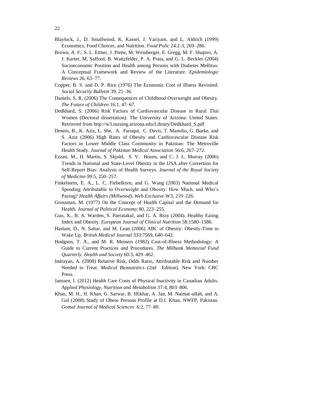- Blaylock, J., D. Smallwood, K. Kassel, J. Variyam, and L. Aldrich (1999) Economics, Food Choices, and Nutrition. *Food Polic* 24:2-3, 269–286.
- Brown, A. F., S. L. Ettner, J. Piette, M. Weinberger, E. Gregg, M. F. Shapiro, A. J. Karter, M. Safford, B. Waitzfelder, P. A. Prata, and G. L. Beckles (2004) Socioeconomic Position and Health among Persons with Diabetes Mellitus: A Conceptual Framework and Review of the Literature. *Epidemiologic Reviews* 26, 63–77.
- Copper, B. S. and D. P. Rice (1976) The Economic Cost of Illness Revisited. *Social Security Bulletin* 39, 21–36.
- Daniels, S. R. (2006) The Consequences of Childhood Overweight and Obesity. *The Future of Children* 16:1, 47–67.
- Dedkhard, S. (2006) Risk Factors of Cardiovascular Disease in Rural Thai Women (Doctoral dissertation). The University of Arizona: United States. Retrieved from http://w3.nursing.arizona.edu/Library/Dedkhard\_S.pdf
- Dennis, B., K. Aziz, L. She, A. Faruqui, C. Davis, T. Manolio, G. Burke, and S. Aziz (2006) High Rates of Obesity and Cardiovascular Disease Risk Factors in Lower Middle Class Community in Pakistan: The Metroville Health Study. *Journal of Pakistan Medical Association* 56:6, 267–272.
- Ezzati, M., H. Martin, S. Skjold, S. V. Hoorn, and C. J. L. Murray (2006) Trends in National and State-Level Obesity in the USA after Correction for Self-Report Bias: Analysis of Health Surveys. *Journal of the Royal Society of Medicine* 99:5, 250–257.
- Finkelstein, E. A., L. C. Fiebelkorn, and G. Wang (2003) National Medical Spending Attributable to Overweight and Obesity: How Much, and Who's Paying? *Health Affairs (Millwood), Web Exclusive* W3, 219–226.
- Grossman, M. (1977) On the Concept of Health Capital and the Demand for Health. *Journal of Political Economy* 80, 223–255.
- Guo, X., B. A. Warden, S. Paeratakul, and G. A. Bray (2004). Healthy Eating Index and Obesity. *European Journal of Clinical Nutrition* 58:1580–1586.
- Haslam, D., N. Sattar, and M. Lean (2006) ABC of Obesity: Obesity-Time to Wake Up. *British Medical Journal* 333:7569, 640–642.
- Hodgson, T. A., and M. R. Meiners (1982) Cost-of-Illness Methodology: A Guide to Current Practices and Procedures. *The Milbank Memorial Fund Quarterly. Health and Society* 60:3, 429–462.
- Indrayan, A. (2008) Relative Risk, Odds Ratio, Attributable Risk and Number Needed to Treat. *Medical Biostatistics* (2nd Edition). New York: CRC Press.
- Janssen, I. (2012) Health Care Costs of Physical Inactivity in Canadian Adults. *Applied Physiology, Nutrition and Metabolism* 37*:*4, 803–806.
- Khan, M. H., H. Khan, G. Sarwar, B. Iftikhar, A. Jan, M. Naimat-ullah, and A. Gul (2008) Study of Obese Persons Profile at D.I. Khan, NWFP, Pakistan. *Gomal Journal of Medical Sciences* 6:2, 77–80.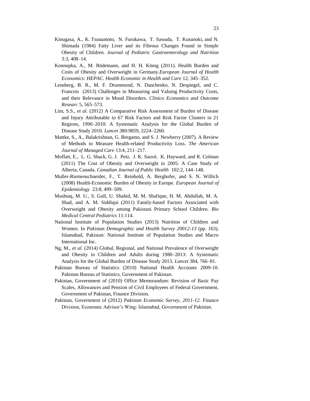- [Kinugasa, A.](http://www.ncbi.nlm.nih.gov/pubmed/?term=Kinugasa%20A%5BAuthor%5D&cauthor=true&cauthor_uid=6737186), K. [Tsunamoto,](http://www.ncbi.nlm.nih.gov/pubmed/?term=Tsunamoto%20K%5BAuthor%5D&cauthor=true&cauthor_uid=6737186) N. [Furukawa, T](http://www.ncbi.nlm.nih.gov/pubmed/?term=Furukawa%20N%5BAuthor%5D&cauthor=true&cauthor_uid=6737186). [Sawada,](http://www.ncbi.nlm.nih.gov/pubmed/?term=Sawada%20T%5BAuthor%5D&cauthor=true&cauthor_uid=6737186) T. [Kusunoki,](http://www.ncbi.nlm.nih.gov/pubmed/?term=Kusunoki%20T%5BAuthor%5D&cauthor=true&cauthor_uid=6737186) and N. [Shimada](http://www.ncbi.nlm.nih.gov/pubmed/?term=Shimada%20N%5BAuthor%5D&cauthor=true&cauthor_uid=6737186) (1984) Fatty Liver and its Fibrous Changes Found in Simple Obesity of Children. *[Journal of Pediatric Gastroenterology and Nutri](http://www.ncbi.nlm.nih.gov/pubmed/6737186)tion*  3:3, 408–14.
- [Konnopka, A.](http://www.ncbi.nlm.nih.gov/pubmed?term=Konnopka%20A%5BAuthor%5D&cauthor=true&cauthor_uid=20401679), M. [Bödemann,](http://www.ncbi.nlm.nih.gov/pubmed?term=B%C3%B6demann%20M%5BAuthor%5D&cauthor=true&cauthor_uid=20401679) and H. H. [König](http://www.ncbi.nlm.nih.gov/pubmed?term=K%C3%B6nig%20HH%5BAuthor%5D&cauthor=true&cauthor_uid=20401679) (2011). Health Burden and Costs of Obesity and Overweight in Germany.*European Journal of Health Economics: HEPAC. Health Economic in Health and Care* 12, 345–352*.*
- Lensberg, B. R., M. F. Drummond, N. Danchenko, N. Despiegel, and C. Francois (2013) Challenges in Measuring and Valuing Productivity Costs, and their Relevance in Mood Disorders. *Clinico Economics and Outcome Researc* 5, 565–573.
- Lim, S.S., *et al.* (2012) A Comparative Risk Assessment of Burden of Disease and Injury Attributable to 67 Risk Factors and Risk Factor Clusters in 21 Regions, 1990–2010: A Systematic Analysis for the Global Burden of Disease Study 2010. *Lancet* 380:9859, 2224–2260.
- Mattke, S., A., Balakrishnan, G. Bergamo, and S. J. Newberry (2007). A Review of Methods to Measure Health-related Productivity Loss. *The American Journal of Managed Care* 13:4, 211–217.
- [Moffatt, E.](http://www.ncbi.nlm.nih.gov/pubmed?term=Moffatt%20E%5BAuthor%5D&cauthor=true&cauthor_uid=21608388), L. G. [Shack, G](http://www.ncbi.nlm.nih.gov/pubmed?term=Shack%20LG%5BAuthor%5D&cauthor=true&cauthor_uid=21608388). J. [Petz,](http://www.ncbi.nlm.nih.gov/pubmed?term=Petz%20GJ%5BAuthor%5D&cauthor=true&cauthor_uid=21608388) J. K. [Sauvé,](http://www.ncbi.nlm.nih.gov/pubmed?term=Sauv%C3%A9%20JK%5BAuthor%5D&cauthor=true&cauthor_uid=21608388) K. [Hayward,](http://www.ncbi.nlm.nih.gov/pubmed?term=Hayward%20K%5BAuthor%5D&cauthor=true&cauthor_uid=21608388) and R. [Colman](http://www.ncbi.nlm.nih.gov/pubmed?term=Colman%20R%5BAuthor%5D&cauthor=true&cauthor_uid=21608388) (2011) The Cost of Obesity and Overweight in 2005: A Case Study of Alberta, Canada. *Canadian Journal of Public Health* 102:2, 144–148.
- Muller-Riemenschneider, F., T. Reinhold, A. Berghofer, and S. N. Willich (2008) Health-Economic Burden of Obesity in Europe. *European Journal of Epidemiology* 23:8, 499–509.
- Mushtaq, M. U., S. Gull, U. Shahid, M. M. Shafique, H. M. Abdullah, M. A. Shad, and A. M. Siddiqui (2011) Family-based Factors Associated with Overweight and Obesity among Pakistani Primary School Children. *Bio Medical Central Pediatrics* 11:114.
- National Institute of Population Studies (2013) Nutrition of Children and Women. In *Pakistan Demographic and Health Survey 20012-13* (pp. 163). Islamabad, Pakistan: National Institute of Population Studies and Macro International Inc.
- Ng, M., *et al.* (2014) Global, Regional, and National Prevalence of Overweight and Obesity in Children and Adults during 1980–2013: A Systematic Analysis for the Global Burden of Disease Study 2013. *Lancet* 384, 766–81.
- Pakistan Bureau of Statistics (2010) National Health Accounts 2009-10. Pakistan Bureau of Statistics, Government of Pakistan.
- Pakistan, Government of (2010) Office Memorandum: Revision of Basic Pay Scales, Allowances and Pension of Civil Employees of Federal Government, Government of Pakistan, Finance Division.
- Pakistan, Government of (2012) *Pakistan Economic Survey, 2011-12*. Finance Division, Economic Advisor's Wing: Islamabad, Government of Pakistan.